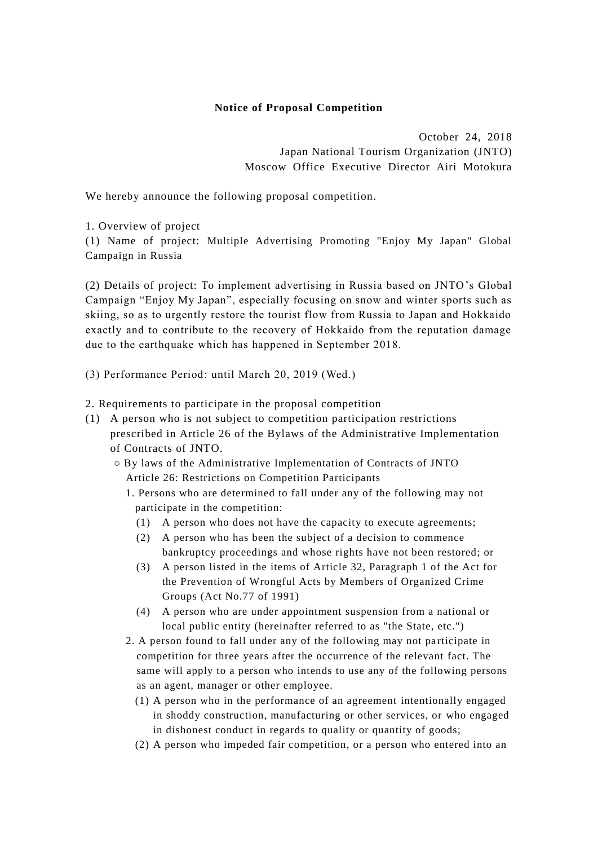## **Notice of Proposal Competition**

October 24, 2018 Japan National Tourism Organization (JNTO) Moscow Office Executive Director Airi Motokura

We hereby announce the following proposal competition.

1. Overview of project

(1) Name of project: Multiple Advertising Promoting "Enjoy My Japan" Global Campaign in Russia

(2) Details of project: To implement advertising in Russia based on JNTO's Global Campaign "Enjoy My Japan", especially focusing on snow and winter sports such as skiing, so as to urgently restore the tourist flow from Russia to Japan and Hokkaido exactly and to contribute to the recovery of Hokkaido from the reputation damage due to the earthquake which has happened in September 2018.

(3) Performance Period: until March 20, 2019 (Wed.)

2. Requirements to participate in the proposal competition

- (1) A person who is not subject to competition participation restrictions prescribed in Article 26 of the Bylaws of the Administrative Implementation of Contracts of JNTO.
	- By laws of the Administrative Implementation of Contracts of JNTO Article 26: Restrictions on Competition Participants
		- 1. Persons who are determined to fall under any of the following may not participate in the competition:
			- (1) A person who does not have the capacity to execute agreements;
			- (2) A person who has been the subject of a decision to commence bankruptcy proceedings and whose rights have not been restored; or
			- (3) A person listed in the items of Article 32, Paragraph 1 of the Act for the Prevention of Wrongful Acts by Members of Organized Crime Groups (Act No.77 of 1991)
			- (4) A person who are under appointment suspension from a national or local public entity (hereinafter referred to as "the State, etc.")
		- 2. A person found to fall under any of the following may not participate in competition for three years after the occurrence of the relevant fact. The same will apply to a person who intends to use any of the following persons as an agent, manager or other employee.
			- (1) A person who in the performance of an agreement intentionally engaged in shoddy construction, manufacturing or other services, or who engaged in dishonest conduct in regards to quality or quantity of goods;
			- (2) A person who impeded fair competition, or a person who entered into an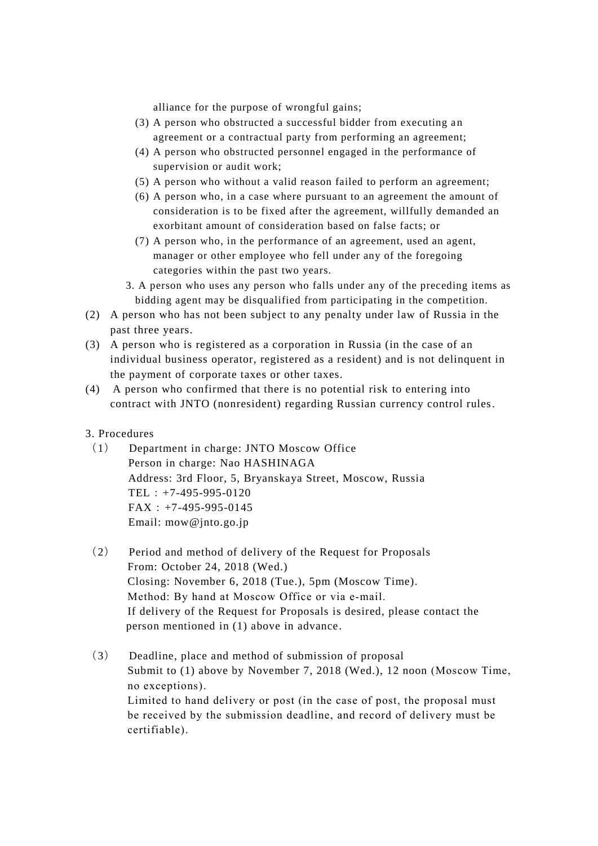alliance for the purpose of wrongful gains;

- (3) A person who obstructed a successful bidder from executing an agreement or a contractual party from performing an agreement;
- (4) A person who obstructed personnel engaged in the performance of supervision or audit work;
- (5) A person who without a valid reason failed to perform an agreement;
- (6) A person who, in a case where pursuant to an agreement the amount of consideration is to be fixed after the agreement, willfully demanded an exorbitant amount of consideration based on false facts; or
- (7) A person who, in the performance of an agreement, used an agent, manager or other employee who fell under any of the foregoing categories within the past two years.
- 3. A person who uses any person who falls under any of the preceding items as bidding agent may be disqualified from participating in the competition.
- (2) A person who has not been subject to any penalty under law of Russia in the past three years.
- (3) A person who is registered as a corporation in Russia (in the case of an individual business operator, registered as a resident) and is not delinquent in the payment of corporate taxes or other taxes.
- (4) A person who confirmed that there is no potential risk to entering into contract with JNTO (nonresident) regarding Russian currency control rules.
- 3. Procedures
	- (1) Department in charge: JNTO Moscow Office Person in charge: Nao HASHINAGA Address: 3rd Floor, 5, Bryanskaya Street, Moscow, Russia TEL:+7-495-995-0120  $FAX: +7-495-995-0145$ Email: mow@jnto.go.jp
	- (2) Period and method of delivery of the Request for Proposals From: October 24, 2018 (Wed.) Closing: November 6, 2018 (Tue.), 5pm (Moscow Time). Method: By hand at Moscow Office or via e-mail. If delivery of the Request for Proposals is desired, please contact the person mentioned in (1) above in advance.
	- (3) Deadline, place and method of submission of proposal Submit to (1) above by November 7, 2018 (Wed.), 12 noon (Moscow Time, no exceptions). Limited to hand delivery or post (in the case of post, the proposal must be received by the submission deadline, and record of delivery must be certifiable).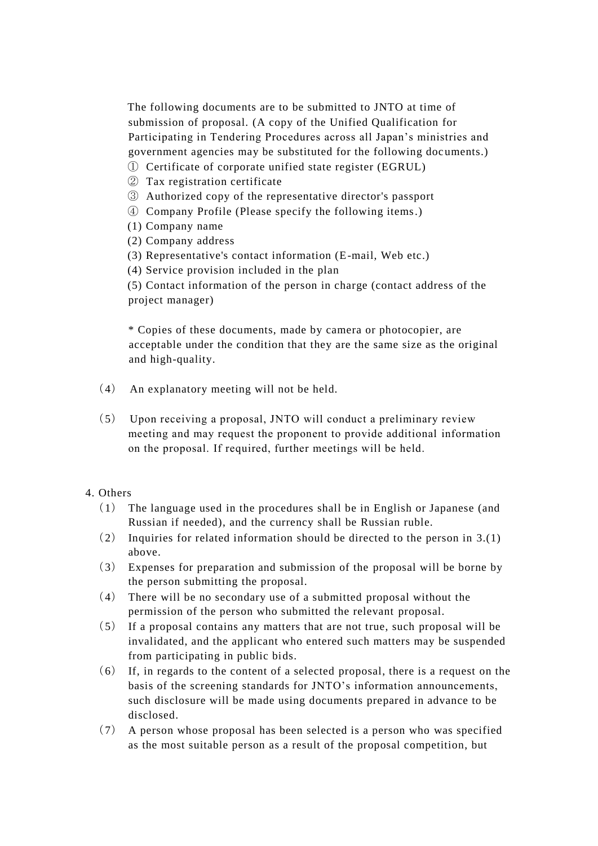The following documents are to be submitted to JNTO at time of submission of proposal. (A copy of the Unified Qualification for Participating in Tendering Procedures across all Japan's ministries and government agencies may be substituted for the following doc uments.)

- ① Certificate of corporate unified state register (EGRUL)
- ② Tax registration certificate
- ③ Authorized copy of the representative director's passport
- ④ Company Profile (Please specify the following items.)
- (1) Company name
- (2) Company address
- (3) Representative's contact information (E-mail, Web etc.)
- (4) Service provision included in the plan

(5) Contact information of the person in charge (contact address of the project manager)

\* Copies of these documents, made by camera or photocopier, are acceptable under the condition that they are the same size as the original and high-quality.

- (4) An explanatory meeting will not be held.
- (5) Upon receiving a proposal, JNTO will conduct a preliminary review meeting and may request the proponent to provide additional information on the proposal. If required, further meetings will be held.

## 4. Others

- (1) The language used in the procedures shall be in English or Japanese (and Russian if needed), and the currency shall be Russian ruble.
- (2) Inquiries for related information should be directed to the person in 3.(1) above.
- (3) Expenses for preparation and submission of the proposal will be borne by the person submitting the proposal.
- (4) There will be no secondary use of a submitted proposal without the permission of the person who submitted the relevant proposal.
- (5) If a proposal contains any matters that are not true, such proposal will be invalidated, and the applicant who entered such matters may be suspended from participating in public bids.
- (6) If, in regards to the content of a selected proposal, there is a request on the basis of the screening standards for JNTO's information announcements, such disclosure will be made using documents prepared in advance to be disclosed.
- (7) A person whose proposal has been selected is a person who was specified as the most suitable person as a result of the proposal competition, but